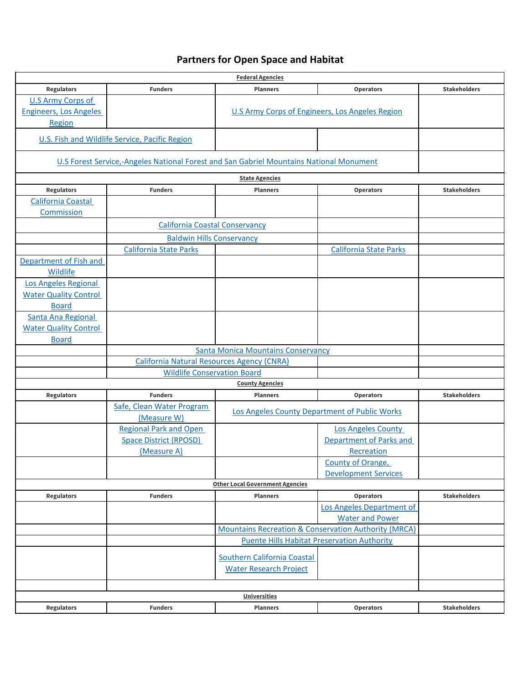## **Partners for Open Space and Habitat**

| <b>Federal Agencies</b>       |                                                                                                |                                                                 |                                 |                     |  |  |  |
|-------------------------------|------------------------------------------------------------------------------------------------|-----------------------------------------------------------------|---------------------------------|---------------------|--|--|--|
| <b>Regulators</b>             | <b>Funders</b>                                                                                 | <b>Planners</b>                                                 | <b>Operators</b>                | <b>Stakeholders</b> |  |  |  |
| <b>U.S Army Corps of</b>      |                                                                                                |                                                                 |                                 |                     |  |  |  |
| <b>Engineers, Los Angeles</b> | U.S Army Corps of Engineers, Los Angeles Region                                                |                                                                 |                                 |                     |  |  |  |
| Region                        |                                                                                                |                                                                 |                                 |                     |  |  |  |
|                               | U.S. Fish and Wildlife Service, Pacific Region                                                 |                                                                 |                                 |                     |  |  |  |
|                               | <b>U.S Forest Service,-Angeles National Forest and San Gabriel Mountains National Monument</b> |                                                                 |                                 |                     |  |  |  |
| <b>State Agencies</b>         |                                                                                                |                                                                 |                                 |                     |  |  |  |
| <b>Regulators</b>             | <b>Funders</b>                                                                                 | <b>Planners</b>                                                 | <b>Operators</b>                | <b>Stakeholders</b> |  |  |  |
| California Coastal            |                                                                                                |                                                                 |                                 |                     |  |  |  |
| Commission                    |                                                                                                |                                                                 |                                 |                     |  |  |  |
|                               | <b>California Coastal Conservancy</b>                                                          |                                                                 |                                 |                     |  |  |  |
|                               | <b>Baldwin Hills Conservancy</b>                                                               |                                                                 |                                 |                     |  |  |  |
|                               | <b>California State Parks</b>                                                                  |                                                                 | <b>California State Parks</b>   |                     |  |  |  |
| Department of Fish and        |                                                                                                |                                                                 |                                 |                     |  |  |  |
| Wildlife                      |                                                                                                |                                                                 |                                 |                     |  |  |  |
| Los Angeles Regional          |                                                                                                |                                                                 |                                 |                     |  |  |  |
| <b>Water Quality Control</b>  |                                                                                                |                                                                 |                                 |                     |  |  |  |
| <b>Board</b>                  |                                                                                                |                                                                 |                                 |                     |  |  |  |
| Santa Ana Regional            |                                                                                                |                                                                 |                                 |                     |  |  |  |
| <b>Water Quality Control</b>  |                                                                                                |                                                                 |                                 |                     |  |  |  |
| <b>Board</b>                  |                                                                                                |                                                                 |                                 |                     |  |  |  |
|                               | <b>Santa Monica Mountains Conservancy</b>                                                      |                                                                 |                                 |                     |  |  |  |
|                               | <b>California Natural Resources Agency (CNRA)</b>                                              |                                                                 |                                 |                     |  |  |  |
|                               | <b>Wildlife Conservation Board</b>                                                             |                                                                 |                                 |                     |  |  |  |
| <b>County Agencies</b>        |                                                                                                |                                                                 |                                 |                     |  |  |  |
| <b>Regulators</b>             | <b>Funders</b>                                                                                 | <b>Planners</b>                                                 | <b>Operators</b>                | <b>Stakeholders</b> |  |  |  |
|                               | Safe, Clean Water Program                                                                      | Los Angeles County Department of Public Works                   |                                 |                     |  |  |  |
|                               | (Measure W)                                                                                    |                                                                 |                                 |                     |  |  |  |
|                               | <b>Regional Park and Open</b>                                                                  |                                                                 | <b>Los Angeles County</b>       |                     |  |  |  |
|                               | <b>Space District (RPOSD)</b>                                                                  |                                                                 | <b>Department of Parks and</b>  |                     |  |  |  |
|                               | (Measure A)                                                                                    |                                                                 | Recreation<br>County of Orange, |                     |  |  |  |
|                               |                                                                                                |                                                                 | <b>Development Services</b>     |                     |  |  |  |
|                               |                                                                                                | <b>Other Local Government Agencies</b>                          |                                 |                     |  |  |  |
| <b>Regulators</b>             | <b>Funders</b>                                                                                 | <b>Planners</b>                                                 | <b>Operators</b>                | <b>Stakeholders</b> |  |  |  |
|                               |                                                                                                |                                                                 | Los Angeles Department of       |                     |  |  |  |
|                               |                                                                                                |                                                                 | <b>Water and Power</b>          |                     |  |  |  |
|                               |                                                                                                | <b>Mountains Recreation &amp; Conservation Authority (MRCA)</b> |                                 |                     |  |  |  |
|                               |                                                                                                | <b>Puente Hills Habitat Preservation Authority</b>              |                                 |                     |  |  |  |
|                               |                                                                                                |                                                                 |                                 |                     |  |  |  |
|                               |                                                                                                | Southern California Coastal                                     |                                 |                     |  |  |  |
|                               |                                                                                                | <b>Water Research Project</b>                                   |                                 |                     |  |  |  |
|                               |                                                                                                |                                                                 |                                 |                     |  |  |  |
|                               |                                                                                                | <b>Universities</b>                                             |                                 |                     |  |  |  |
| <b>Regulators</b>             | <b>Funders</b>                                                                                 | <b>Planners</b>                                                 | <b>Operators</b>                | <b>Stakeholders</b> |  |  |  |